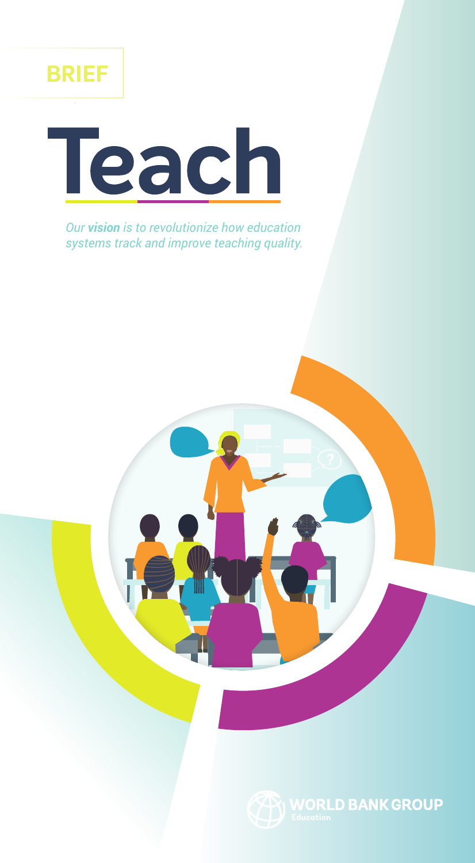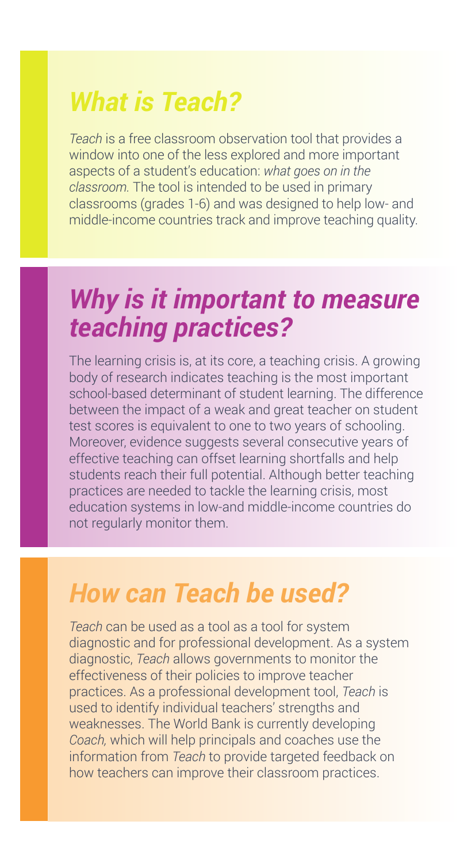## *What is Teach?*

*Teach* is a free classroom observation tool that provides a window into one of the less explored and more important aspects of a student's education: *what goes on in the classroom.* The tool is intended to be used in primary classrooms (grades 1-6) and was designed to help low- and middle-income countries track and improve teaching quality.

## *Why is it important to measure teaching practices?*

The learning crisis is, at its core, a teaching crisis. A growing body of research indicates teaching is the most important school-based determinant of student learning. The difference between the impact of a weak and great teacher on student test scores is equivalent to one to two years of schooling. Moreover, evidence suggests several consecutive years of effective teaching can offset learning shortfalls and help students reach their full potential. Although better teaching practices are needed to tackle the learning crisis, most education systems in low-and middle-income countries do not regularly monitor them.

## *How can Teach be used?*

*Teach* can be used as a tool as a tool for system diagnostic and for professional development. As a system diagnostic, *Teach* allows governments to monitor the effectiveness of their policies to improve teacher practices. As a professional development tool, *Teach* is used to identify individual teachers' strengths and weaknesses. The World Bank is currently developing *Coach,* which will help principals and coaches use the information from *Teach* to provide targeted feedback on how teachers can improve their classroom practices.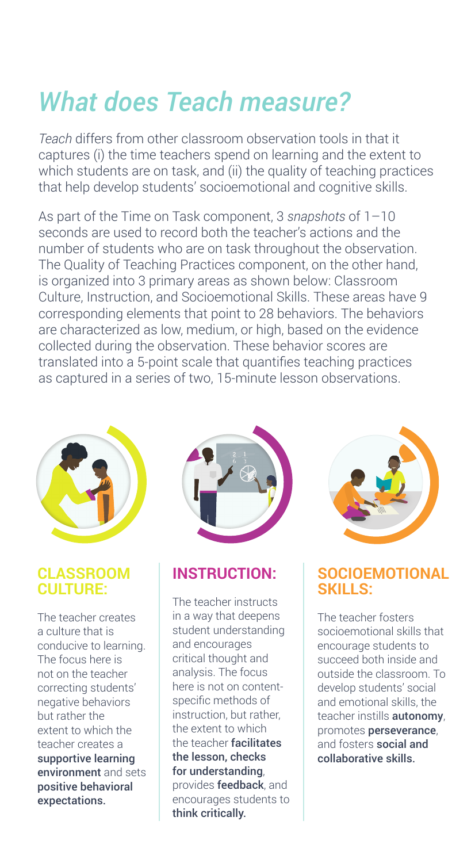# *What does Teach measure?*

*Teach* differs from other classroom observation tools in that it captures (i) the time teachers spend on learning and the extent to which students are on task, and (ii) the quality of teaching practices that help develop students' socioemotional and cognitive skills.

As part of the Time on Task component, 3 *snapshots* of 1–10 seconds are used to record both the teacher's actions and the number of students who are on task throughout the observation. The Quality of Teaching Practices component, on the other hand, is organized into 3 primary areas as shown below: Classroom Culture, Instruction, and Socioemotional Skills. These areas have 9 corresponding elements that point to 28 behaviors. The behaviors are characterized as low, medium, or high, based on the evidence collected during the observation. These behavior scores are translated into a 5-point scale that quantifies teaching practices as captured in a series of two, 15-minute lesson observations.



#### **CLASSROOM CULTURE:**

The teacher creates a culture that is conducive to learning. The focus here is not on the teacher correcting students' negative behaviors but rather the extent to which the teacher creates a supportive learning environment and sets positive behavioral expectations.



### **INSTRUCTION:**

The teacher instructs in a way that deepens student understanding and encourages critical thought and analysis. The focus here is not on contentspecific methods of instruction, but rather, the extent to which the teacher facilitates the lesson, checks for understanding, provides feedback, and encourages students to think critically.



#### **SOCIOEMOTIONAL SKILLS:**

The teacher fosters socioemotional skills that encourage students to succeed both inside and outside the classroom. To develop students' social and emotional skills, the teacher instills **autonomy**. promotes perseverance, and fosters social and collaborative skills.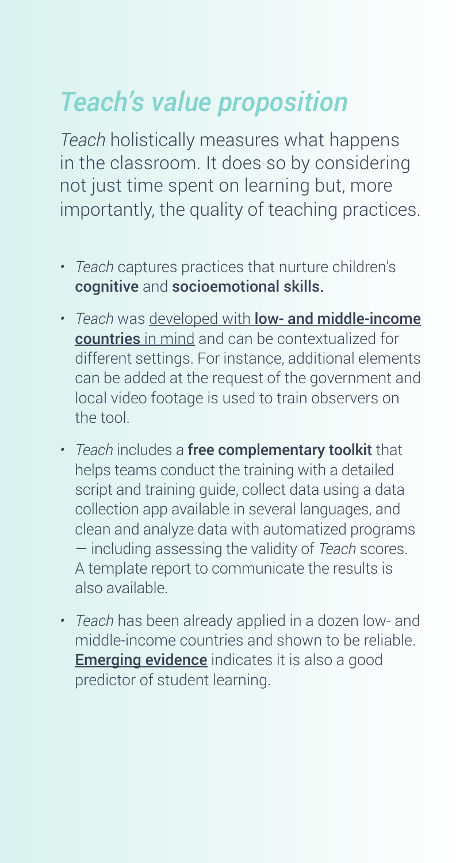# *Teach's value proposition*

*Teach* holistically measures what happens in the classroom. It does so by considering not just time spent on learning but, more importantly, the quality of teaching practices.

- *• Teach* captures practices that nurture children's cognitive and socioemotional skills.
- *• Teach* was developed with [low- and middle-income](http://documents.worldbank.org/curated/en/552391543437324357/pdf/WPS8656.pdf)  [countries](http://documents.worldbank.org/curated/en/552391543437324357/pdf/WPS8656.pdf) in mind and can be contextualized for different settings. For instance, additional elements can be added at the request of the government and local video footage is used to train observers on the tool.
- *• Teach* includes a free complementary toolkit that helps teams conduct the training with a detailed script and training guide, collect data using a data collection app available in several languages, and clean and analyze data with automatized programs — including assessing the validity of *Teach* scores. A template report to communicate the results is also available.
- *• Teach* has been already applied in a dozen low- and middle-income countries and shown to be reliable. **[Emerging evidence](http://documents.worldbank.org/curated/en/464361543244734516/pdf/WPS8653.pdf)** indicates it is also a good predictor of student learning.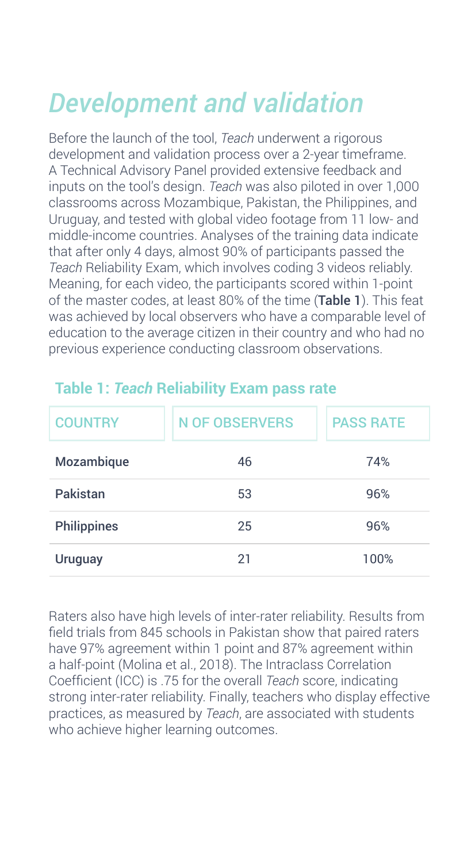# *Development and validation*

Before the launch of the tool, *Teach* underwent a rigorous development and validation process over a 2-year timeframe. A Technical Advisory Panel provided extensive feedback and inputs on the tool's design. *Teach* was also piloted in over 1,000 classrooms across Mozambique, Pakistan, the Philippines, and Uruguay, and tested with global video footage from 11 low- and middle-income countries. Analyses of the training data indicate that after only 4 days, almost 90% of participants passed the *Teach* Reliability Exam, which involves coding 3 videos reliably. Meaning, for each video, the participants scored within 1-point of the master codes, at least 80% of the time (Table 1). This feat was achieved by local observers who have a comparable level of education to the average citizen in their country and who had no previous experience conducting classroom observations.

| <b>COUNTRY</b>     | <b>N OF OBSERVERS</b> | <b>PASS RATE</b> |
|--------------------|-----------------------|------------------|
| Mozambique         | 46                    | 74%              |
| Pakistan           | 53                    | 96%              |
| <b>Philippines</b> | 25                    | 96%              |
| <b>Uruguay</b>     | 21                    | 100%             |

### **Table 1:** *Teach* **Reliability Exam pass rate**

Raters also have high levels of inter-rater reliability. Results from field trials from 845 schools in Pakistan show that paired raters have 97% agreement within 1 point and 87% agreement within a half-point (Molina et al., 2018). The Intraclass Correlation Coefficient (ICC) is .75 for the overall *Teach* score, indicating strong inter-rater reliability. Finally, teachers who display effective practices, as measured by *Teach*, are associated with students who achieve higher learning outcomes.